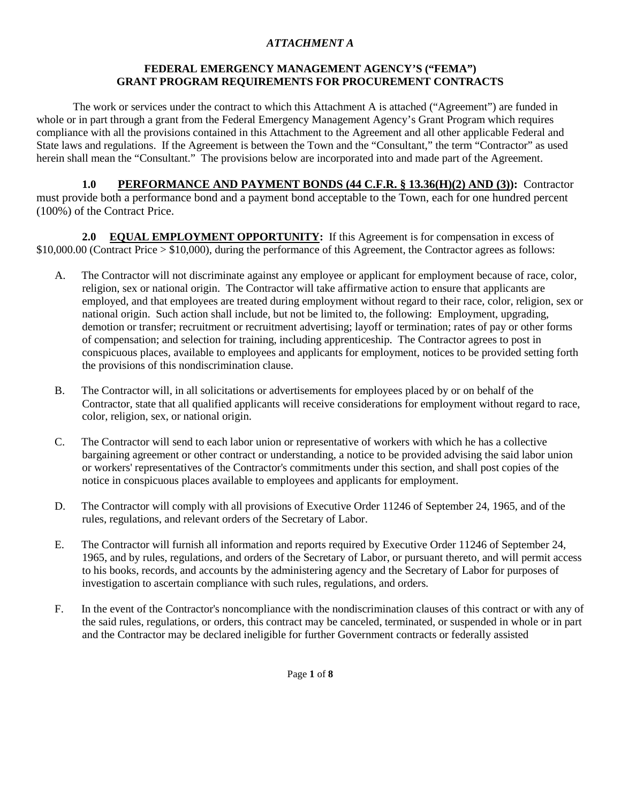### *ATTACHMENT A*

#### **FEDERAL EMERGENCY MANAGEMENT AGENCY'S ("FEMA") GRANT PROGRAM REQUIREMENTS FOR PROCUREMENT CONTRACTS**

The work or services under the contract to which this Attachment A is attached ("Agreement") are funded in whole or in part through a grant from the Federal Emergency Management Agency's Grant Program which requires compliance with all the provisions contained in this Attachment to the Agreement and all other applicable Federal and State laws and regulations. If the Agreement is between the Town and the "Consultant," the term "Contractor" as used herein shall mean the "Consultant." The provisions below are incorporated into and made part of the Agreement.

## **1.0 PERFORMANCE AND PAYMENT BONDS (44 C.F.R. § 13.36(H)(2) AND (3)):** Contractor

must provide both a performance bond and a payment bond acceptable to the Town, each for one hundred percent (100%) of the Contract Price.

**2.0 EQUAL EMPLOYMENT OPPORTUNITY:** If this Agreement is for compensation in excess of \$10,000.00 (Contract Price > \$10,000), during the performance of this Agreement, the Contractor agrees as follows:

- A. The Contractor will not discriminate against any employee or applicant for employment because of race, color, religion, sex or national origin. The Contractor will take affirmative action to ensure that applicants are employed, and that employees are treated during employment without regard to their race, color, religion, sex or national origin. Such action shall include, but not be limited to, the following: Employment, upgrading, demotion or transfer; recruitment or recruitment advertising; layoff or termination; rates of pay or other forms of compensation; and selection for training, including apprenticeship. The Contractor agrees to post in conspicuous places, available to employees and applicants for employment, notices to be provided setting forth the provisions of this nondiscrimination clause.
- B. The Contractor will, in all solicitations or advertisements for employees placed by or on behalf of the Contractor, state that all qualified applicants will receive considerations for employment without regard to race, color, religion, sex, or national origin.
- C. The Contractor will send to each labor union or representative of workers with which he has a collective bargaining agreement or other contract or understanding, a notice to be provided advising the said labor union or workers' representatives of the Contractor's commitments under this section, and shall post copies of the notice in conspicuous places available to employees and applicants for employment.
- D. The Contractor will comply with all provisions of Executive Order 11246 of September 24, 1965, and of the rules, regulations, and relevant orders of the Secretary of Labor.
- E. The Contractor will furnish all information and reports required by Executive Order 11246 of September 24, 1965, and by rules, regulations, and orders of the Secretary of Labor, or pursuant thereto, and will permit access to his books, records, and accounts by the administering agency and the Secretary of Labor for purposes of investigation to ascertain compliance with such rules, regulations, and orders.
- F. In the event of the Contractor's noncompliance with the nondiscrimination clauses of this contract or with any of the said rules, regulations, or orders, this contract may be canceled, terminated, or suspended in whole or in part and the Contractor may be declared ineligible for further Government contracts or federally assisted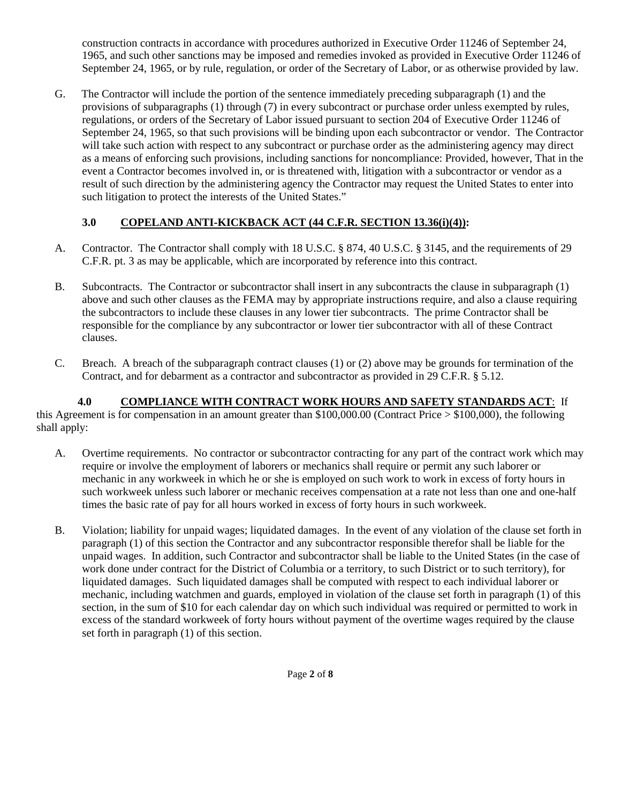construction contracts in accordance with procedures authorized in Executive Order 11246 of September 24, 1965, and such other sanctions may be imposed and remedies invoked as provided in Executive Order 11246 of September 24, 1965, or by rule, regulation, or order of the Secretary of Labor, or as otherwise provided by law.

G. The Contractor will include the portion of the sentence immediately preceding subparagraph (1) and the provisions of subparagraphs (1) through (7) in every subcontract or purchase order unless exempted by rules, regulations, or orders of the Secretary of Labor issued pursuant to section 204 of Executive Order 11246 of September 24, 1965, so that such provisions will be binding upon each subcontractor or vendor. The Contractor will take such action with respect to any subcontract or purchase order as the administering agency may direct as a means of enforcing such provisions, including sanctions for noncompliance: Provided, however, That in the event a Contractor becomes involved in, or is threatened with, litigation with a subcontractor or vendor as a result of such direction by the administering agency the Contractor may request the United States to enter into such litigation to protect the interests of the United States."

# **3.0 COPELAND ANTI-KICKBACK ACT (44 C.F.R. SECTION 13.36(i)(4)):**

- A. Contractor. The Contractor shall comply with 18 U.S.C. § 874, 40 U.S.C. § 3145, and the requirements of 29 C.F.R. pt. 3 as may be applicable, which are incorporated by reference into this contract.
- B. Subcontracts. The Contractor or subcontractor shall insert in any subcontracts the clause in subparagraph (1) above and such other clauses as the FEMA may by appropriate instructions require, and also a clause requiring the subcontractors to include these clauses in any lower tier subcontracts. The prime Contractor shall be responsible for the compliance by any subcontractor or lower tier subcontractor with all of these Contract clauses.
- C. Breach. A breach of the subparagraph contract clauses (1) or (2) above may be grounds for termination of the Contract, and for debarment as a contractor and subcontractor as provided in 29 C.F.R. § 5.12.

**4.0 COMPLIANCE WITH CONTRACT WORK HOURS AND SAFETY STANDARDS ACT**: If this Agreement is for compensation in an amount greater than \$100,000.00 (Contract Price > \$100,000), the following shall apply:

- A. Overtime requirements. No contractor or subcontractor contracting for any part of the contract work which may require or involve the employment of laborers or mechanics shall require or permit any such laborer or mechanic in any workweek in which he or she is employed on such work to work in excess of forty hours in such workweek unless such laborer or mechanic receives compensation at a rate not less than one and one-half times the basic rate of pay for all hours worked in excess of forty hours in such workweek.
- B. Violation; liability for unpaid wages; liquidated damages. In the event of any violation of the clause set forth in paragraph (1) of this section the Contractor and any subcontractor responsible therefor shall be liable for the unpaid wages. In addition, such Contractor and subcontractor shall be liable to the United States (in the case of work done under contract for the District of Columbia or a territory, to such District or to such territory), for liquidated damages. Such liquidated damages shall be computed with respect to each individual laborer or mechanic, including watchmen and guards, employed in violation of the clause set forth in paragraph (1) of this section, in the sum of \$10 for each calendar day on which such individual was required or permitted to work in excess of the standard workweek of forty hours without payment of the overtime wages required by the clause set forth in paragraph (1) of this section.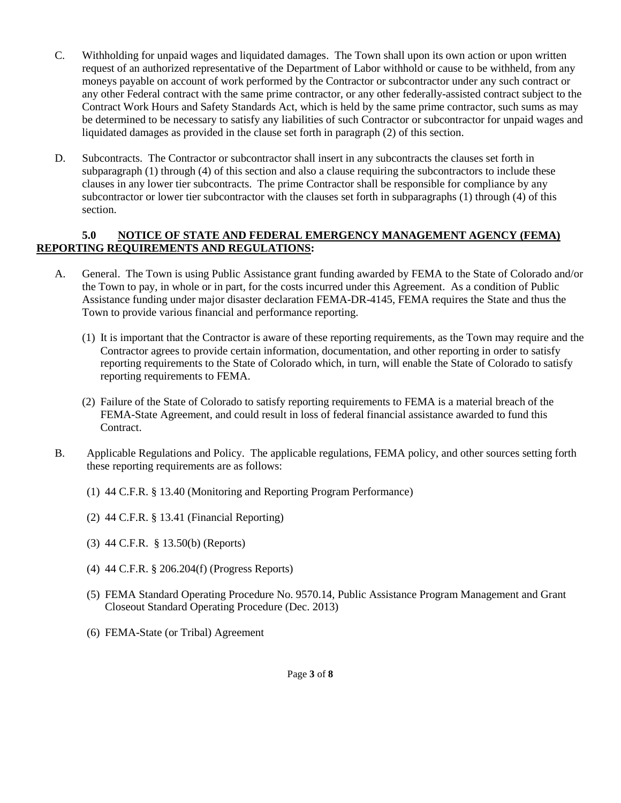- C. Withholding for unpaid wages and liquidated damages. The Town shall upon its own action or upon written request of an authorized representative of the Department of Labor withhold or cause to be withheld, from any moneys payable on account of work performed by the Contractor or subcontractor under any such contract or any other Federal contract with the same prime contractor, or any other federally-assisted contract subject to the Contract Work Hours and Safety Standards Act, which is held by the same prime contractor, such sums as may be determined to be necessary to satisfy any liabilities of such Contractor or subcontractor for unpaid wages and liquidated damages as provided in the clause set forth in paragraph (2) of this section.
- D. Subcontracts. The Contractor or subcontractor shall insert in any subcontracts the clauses set forth in subparagraph (1) through (4) of this section and also a clause requiring the subcontractors to include these clauses in any lower tier subcontracts. The prime Contractor shall be responsible for compliance by any subcontractor or lower tier subcontractor with the clauses set forth in subparagraphs (1) through (4) of this section.

#### **5.0 NOTICE OF STATE AND FEDERAL EMERGENCY MANAGEMENT AGENCY (FEMA) REPORTING REQUIREMENTS AND REGULATIONS:**

- A. General. The Town is using Public Assistance grant funding awarded by FEMA to the State of Colorado and/or the Town to pay, in whole or in part, for the costs incurred under this Agreement. As a condition of Public Assistance funding under major disaster declaration FEMA-DR-4145, FEMA requires the State and thus the Town to provide various financial and performance reporting.
	- (1) It is important that the Contractor is aware of these reporting requirements, as the Town may require and the Contractor agrees to provide certain information, documentation, and other reporting in order to satisfy reporting requirements to the State of Colorado which, in turn, will enable the State of Colorado to satisfy reporting requirements to FEMA.
	- (2) Failure of the State of Colorado to satisfy reporting requirements to FEMA is a material breach of the FEMA-State Agreement, and could result in loss of federal financial assistance awarded to fund this Contract.
- B. Applicable Regulations and Policy. The applicable regulations, FEMA policy, and other sources setting forth these reporting requirements are as follows:
	- (1) 44 C.F.R. § 13.40 (Monitoring and Reporting Program Performance)
	- (2) 44 C.F.R. § 13.41 (Financial Reporting)
	- (3) 44 C.F.R. § 13.50(b) (Reports)
	- (4) 44 C.F.R. § 206.204(f) (Progress Reports)
	- (5) FEMA Standard Operating Procedure No. 9570.14, Public Assistance Program Management and Grant Closeout Standard Operating Procedure (Dec. 2013)
	- (6) FEMA-State (or Tribal) Agreement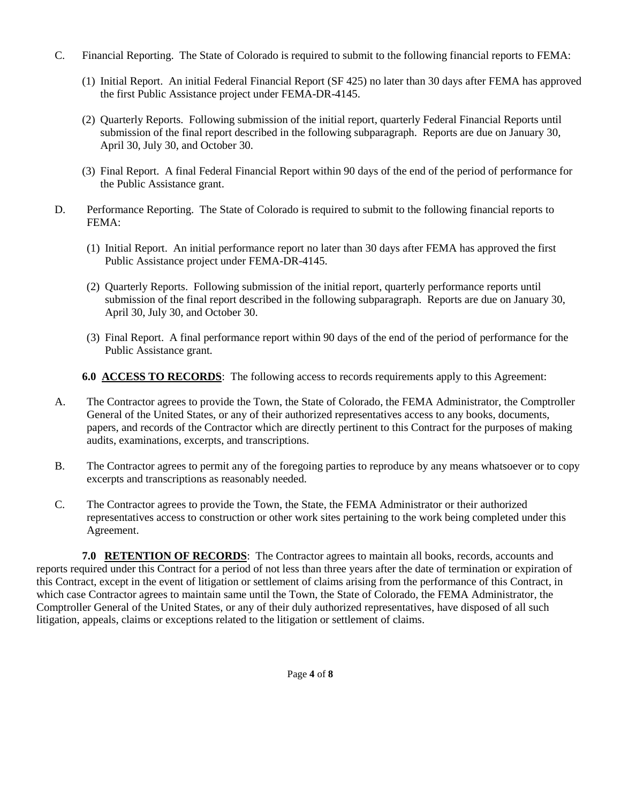- C. Financial Reporting. The State of Colorado is required to submit to the following financial reports to FEMA:
	- (1) Initial Report. An initial Federal Financial Report (SF 425) no later than 30 days after FEMA has approved the first Public Assistance project under FEMA-DR-4145.
	- (2) Quarterly Reports. Following submission of the initial report, quarterly Federal Financial Reports until submission of the final report described in the following subparagraph. Reports are due on January 30, April 30, July 30, and October 30.
	- (3) Final Report. A final Federal Financial Report within 90 days of the end of the period of performance for the Public Assistance grant.
- D. Performance Reporting. The State of Colorado is required to submit to the following financial reports to FEMA:
	- (1) Initial Report. An initial performance report no later than 30 days after FEMA has approved the first Public Assistance project under FEMA-DR-4145.
	- (2) Quarterly Reports. Following submission of the initial report, quarterly performance reports until submission of the final report described in the following subparagraph. Reports are due on January 30, April 30, July 30, and October 30.
	- (3) Final Report. A final performance report within 90 days of the end of the period of performance for the Public Assistance grant.
	- **6.0 ACCESS TO RECORDS**: The following access to records requirements apply to this Agreement:
- A. The Contractor agrees to provide the Town, the State of Colorado, the FEMA Administrator, the Comptroller General of the United States, or any of their authorized representatives access to any books, documents, papers, and records of the Contractor which are directly pertinent to this Contract for the purposes of making audits, examinations, excerpts, and transcriptions.
- B. The Contractor agrees to permit any of the foregoing parties to reproduce by any means whatsoever or to copy excerpts and transcriptions as reasonably needed.
- C. The Contractor agrees to provide the Town, the State, the FEMA Administrator or their authorized representatives access to construction or other work sites pertaining to the work being completed under this Agreement.

**7.0 RETENTION OF RECORDS**: The Contractor agrees to maintain all books, records, accounts and reports required under this Contract for a period of not less than three years after the date of termination or expiration of this Contract, except in the event of litigation or settlement of claims arising from the performance of this Contract, in which case Contractor agrees to maintain same until the Town, the State of Colorado, the FEMA Administrator, the Comptroller General of the United States, or any of their duly authorized representatives, have disposed of all such litigation, appeals, claims or exceptions related to the litigation or settlement of claims.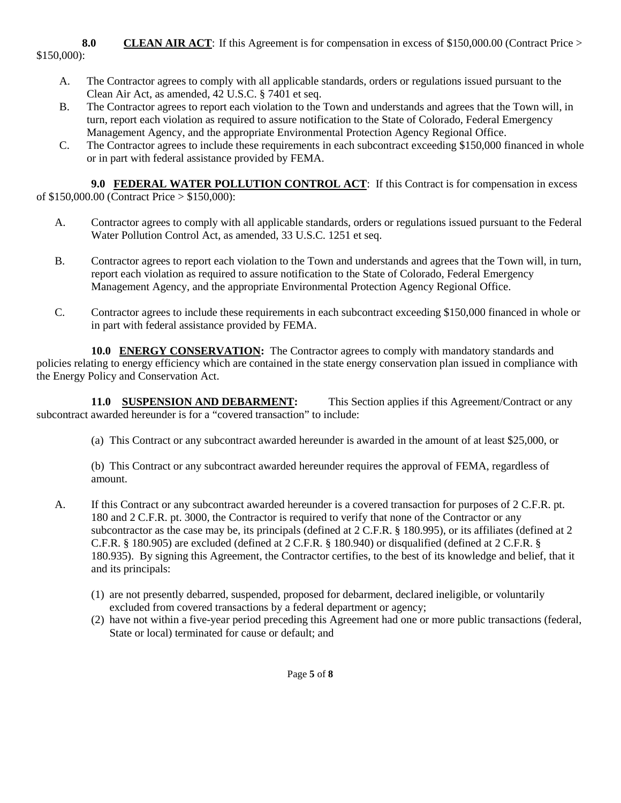### **8.0 CLEAN AIR ACT:** If this Agreement is for compensation in excess of \$150,000.00 (Contract Price > \$150,000):

- A. The Contractor agrees to comply with all applicable standards, orders or regulations issued pursuant to the Clean Air Act, as amended, 42 U.S.C. § 7401 et seq.
- B. The Contractor agrees to report each violation to the Town and understands and agrees that the Town will, in turn, report each violation as required to assure notification to the State of Colorado, Federal Emergency Management Agency, and the appropriate Environmental Protection Agency Regional Office.
- C. The Contractor agrees to include these requirements in each subcontract exceeding \$150,000 financed in whole or in part with federal assistance provided by FEMA.

**9.0 FEDERAL WATER POLLUTION CONTROL ACT**: If this Contract is for compensation in excess of \$150,000.00 (Contract Price > \$150,000):

- A. Contractor agrees to comply with all applicable standards, orders or regulations issued pursuant to the Federal Water Pollution Control Act, as amended, 33 U.S.C. 1251 et seq.
- B. Contractor agrees to report each violation to the Town and understands and agrees that the Town will, in turn, report each violation as required to assure notification to the State of Colorado, Federal Emergency Management Agency, and the appropriate Environmental Protection Agency Regional Office.
- C. Contractor agrees to include these requirements in each subcontract exceeding \$150,000 financed in whole or in part with federal assistance provided by FEMA.

**10.0 ENERGY CONSERVATION:** The Contractor agrees to comply with mandatory standards and policies relating to energy efficiency which are contained in the state energy conservation plan issued in compliance with the Energy Policy and Conservation Act.

**11.0 SUSPENSION AND DEBARMENT:** This Section applies if this Agreement/Contract or any subcontract awarded hereunder is for a "covered transaction" to include:

(a) This Contract or any subcontract awarded hereunder is awarded in the amount of at least \$25,000, or

(b) This Contract or any subcontract awarded hereunder requires the approval of FEMA, regardless of amount.

- A. If this Contract or any subcontract awarded hereunder is a covered transaction for purposes of 2 C.F.R. pt. 180 and 2 C.F.R. pt. 3000, the Contractor is required to verify that none of the Contractor or any subcontractor as the case may be, its principals (defined at 2 C.F.R. § 180.995), or its affiliates (defined at 2 C.F.R. § 180.905) are excluded (defined at 2 C.F.R. § 180.940) or disqualified (defined at 2 C.F.R. § 180.935). By signing this Agreement, the Contractor certifies, to the best of its knowledge and belief, that it and its principals:
	- (1) are not presently debarred, suspended, proposed for debarment, declared ineligible, or voluntarily excluded from covered transactions by a federal department or agency;
	- (2) have not within a five-year period preceding this Agreement had one or more public transactions (federal, State or local) terminated for cause or default; and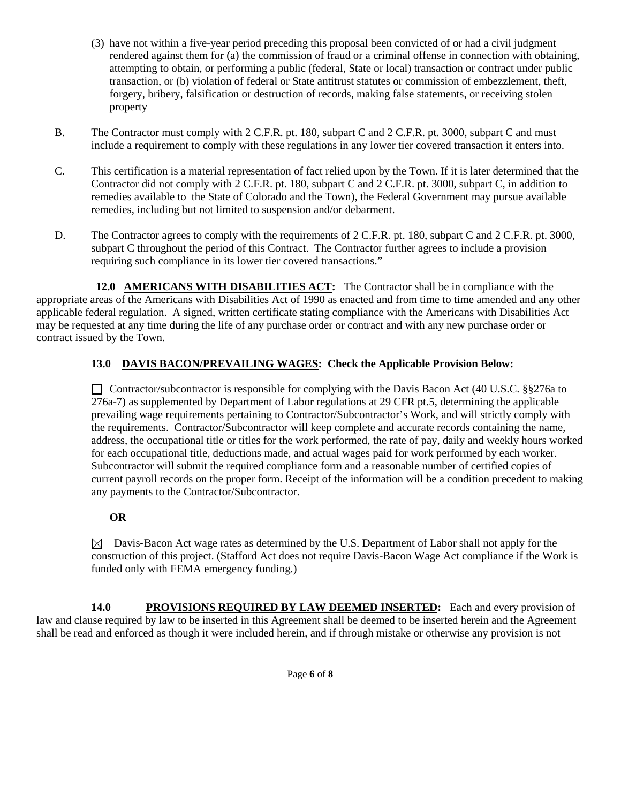- (3) have not within a five-year period preceding this proposal been convicted of or had a civil judgment rendered against them for (a) the commission of fraud or a criminal offense in connection with obtaining, attempting to obtain, or performing a public (federal, State or local) transaction or contract under public transaction, or (b) violation of federal or State antitrust statutes or commission of embezzlement, theft, forgery, bribery, falsification or destruction of records, making false statements, or receiving stolen property
- B. The Contractor must comply with 2 C.F.R. pt. 180, subpart C and 2 C.F.R. pt. 3000, subpart C and must include a requirement to comply with these regulations in any lower tier covered transaction it enters into.
- C. This certification is a material representation of fact relied upon by the Town. If it is later determined that the Contractor did not comply with 2 C.F.R. pt. 180, subpart C and 2 C.F.R. pt. 3000, subpart C, in addition to remedies available to the State of Colorado and the Town), the Federal Government may pursue available remedies, including but not limited to suspension and/or debarment.
- D. The Contractor agrees to comply with the requirements of 2 C.F.R. pt. 180, subpart C and 2 C.F.R. pt. 3000, subpart C throughout the period of this Contract. The Contractor further agrees to include a provision requiring such compliance in its lower tier covered transactions."

**12.0 AMERICANS WITH DISABILITIES ACT:** The Contractor shall be in compliance with the appropriate areas of the Americans with Disabilities Act of 1990 as enacted and from time to time amended and any other applicable federal regulation. A signed, written certificate stating compliance with the Americans with Disabilities Act may be requested at any time during the life of any purchase order or contract and with any new purchase order or contract issued by the Town.

## **13.0 DAVIS BACON/PREVAILING WAGES: Check the Applicable Provision Below:**

Contractor/subcontractor is responsible for complying with the Davis Bacon Act (40 U.S.C. §§276a to 276a-7) as supplemented by Department of Labor regulations at 29 CFR pt.5, determining the applicable prevailing wage requirements pertaining to Contractor/Subcontractor's Work, and will strictly comply with the requirements. Contractor/Subcontractor will keep complete and accurate records containing the name, address, the occupational title or titles for the work performed, the rate of pay, daily and weekly hours worked for each occupational title, deductions made, and actual wages paid for work performed by each worker. Subcontractor will submit the required compliance form and a reasonable number of certified copies of current payroll records on the proper form. Receipt of the information will be a condition precedent to making any payments to the Contractor/Subcontractor.

### **OR**

Davis‐Bacon Act wage rates as determined by the U.S. Department of Labor shall not apply for the construction of this project. (Stafford Act does not require Davis-Bacon Wage Act compliance if the Work is funded only with FEMA emergency funding.)

**14.0 PROVISIONS REQUIRED BY LAW DEEMED INSERTED:** Each and every provision of law and clause required by law to be inserted in this Agreement shall be deemed to be inserted herein and the Agreement shall be read and enforced as though it were included herein, and if through mistake or otherwise any provision is not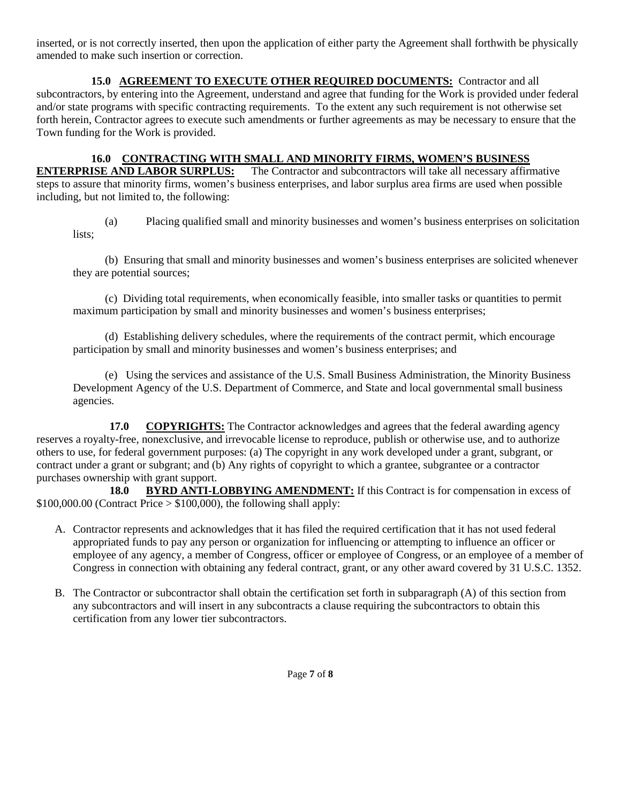inserted, or is not correctly inserted, then upon the application of either party the Agreement shall forthwith be physically amended to make such insertion or correction.

**15.0 AGREEMENT TO EXECUTE OTHER REQUIRED DOCUMENTS:** Contractor and all subcontractors, by entering into the Agreement, understand and agree that funding for the Work is provided under federal and/or state programs with specific contracting requirements. To the extent any such requirement is not otherwise set forth herein, Contractor agrees to execute such amendments or further agreements as may be necessary to ensure that the Town funding for the Work is provided.

#### **16.0 CONTRACTING WITH SMALL AND MINORITY FIRMS, WOMEN'S BUSINESS ENTERPRISE AND LABOR SURPLUS:** The Contractor and subcontractors will take all necessary affirmative steps to assure that minority firms, women's business enterprises, and labor surplus area firms are used when possible including, but not limited to, the following:

(a) Placing qualified small and minority businesses and women's business enterprises on solicitation lists;

(b) Ensuring that small and minority businesses and women's business enterprises are solicited whenever they are potential sources;

(c) Dividing total requirements, when economically feasible, into smaller tasks or quantities to permit maximum participation by small and minority businesses and women's business enterprises;

(d) Establishing delivery schedules, where the requirements of the contract permit, which encourage participation by small and minority businesses and women's business enterprises; and

(e) Using the services and assistance of the U.S. Small Business Administration, the Minority Business Development Agency of the U.S. Department of Commerce, and State and local governmental small business agencies.

**17.0 COPYRIGHTS:** The Contractor acknowledges and agrees that the federal awarding agency reserves a royalty-free, nonexclusive, and irrevocable license to reproduce, publish or otherwise use, and to authorize others to use, for federal government purposes: (a) The copyright in any work developed under a grant, subgrant, or contract under a grant or subgrant; and (b) Any rights of copyright to which a grantee, subgrantee or a contractor purchases ownership with grant support.

18.0 **BYRD ANTI-LOBBYING AMENDMENT:** If this Contract is for compensation in excess of  $$100,000.00$  (Contract Price  $> $100,000$ ), the following shall apply:

- A. Contractor represents and acknowledges that it has filed the required certification that it has not used federal appropriated funds to pay any person or organization for influencing or attempting to influence an officer or employee of any agency, a member of Congress, officer or employee of Congress, or an employee of a member of Congress in connection with obtaining any federal contract, grant, or any other award covered by 31 U.S.C. 1352.
- B. The Contractor or subcontractor shall obtain the certification set forth in subparagraph (A) of this section from any subcontractors and will insert in any subcontracts a clause requiring the subcontractors to obtain this certification from any lower tier subcontractors.